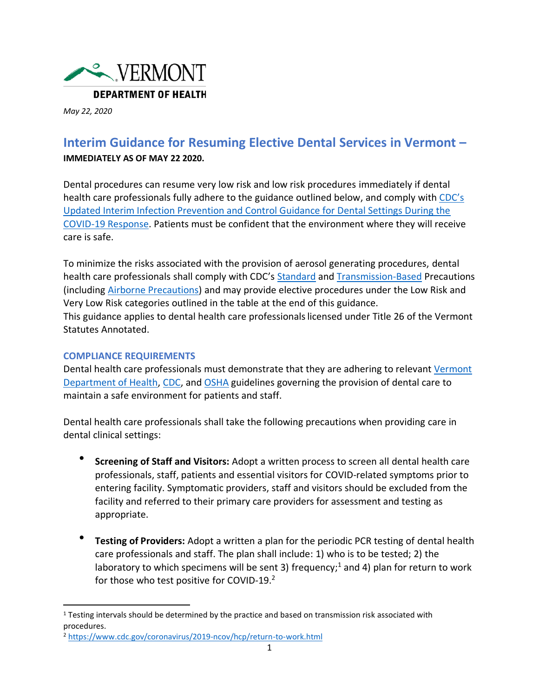

*May 22, 2020*

# **Interim Guidance for Resuming Elective Dental Services in Vermont – IMMEDIATELY AS OF MAY 22 2020.**

Dental procedures can resume very low risk and low risk procedures immediately if dental health care professionals fully adhere to the guidance outlined below, and comply with [CDC's](https://www.cdc.gov/coronavirus/2019-ncov/hcp/dental-settings.html)  [Updated Interim Infection Prevention and Control Guidance for Dental Settings During the](https://www.cdc.gov/coronavirus/2019-ncov/hcp/dental-settings.html)  [COVID-19 Response.](https://www.cdc.gov/coronavirus/2019-ncov/hcp/dental-settings.html) Patients must be confident that the environment where they will receive care is safe.

To minimize the risks associated with the provision of aerosol generating procedures, dental health care professionals shall comply with CDC's [Standard](https://www.cdc.gov/infectioncontrol/basics/standard-precautions.html) and [Transmission-Based](https://www.cdc.gov/infectioncontrol/basics/transmission-based-precautions.html) Precautions (including [Airborne Precautions\)](https://www.cdc.gov/infectioncontrol/basics/transmission-based-precautions.html#anchor_1564058235) and may provide elective procedures under the Low Risk and Very Low Risk categories outlined in the table at the end of this guidance. This guidance applies to dental health care professionalslicensed under Title 26 of the Vermont Statutes Annotated.

### **COMPLIANCE REQUIREMENTS**

Dental health care professionals must demonstrate that they are adhering to relevant [Vermont](https://www.healthvermont.gov/sites/default/files/documents/pdf/SOV-Personal-Protective-Equipment-Guidance.pdf)  [Department of Health,](https://www.healthvermont.gov/sites/default/files/documents/pdf/SOV-Personal-Protective-Equipment-Guidance.pdf) [CDC,](https://www.cdc.gov/coronavirus/2019-ncov/hcp/dental-settings.html) and [OSHA](https://www.osha.gov/SLTC/covid-19/dentistry.html) guidelines governing the provision of dental care to maintain a safe environment for patients and staff.

Dental health care professionals shall take the following precautions when providing care in dental clinical settings:

- **Screening of Staff and Visitors:** Adopt a written process to screen all dental health care professionals, staff, patients and essential visitors for COVID-related symptoms prior to entering facility. Symptomatic providers, staff and visitors should be excluded from the facility and referred to their primary care providers for assessment and testing as appropriate.
- **Testing of Providers:** Adopt a written a plan for the periodic PCR testing of dental health care professionals and staff. The plan shall include: 1) who is to be tested; 2) the laboratory to which specimens will be sent 3) frequency;<sup>1</sup> and 4) plan for return to work for those who test positive for COVID-19.<sup>2</sup>

 $1$  Testing intervals should be determined by the practice and based on transmission risk associated with procedures.

<sup>2</sup> <https://www.cdc.gov/coronavirus/2019-ncov/hcp/return-to-work.html>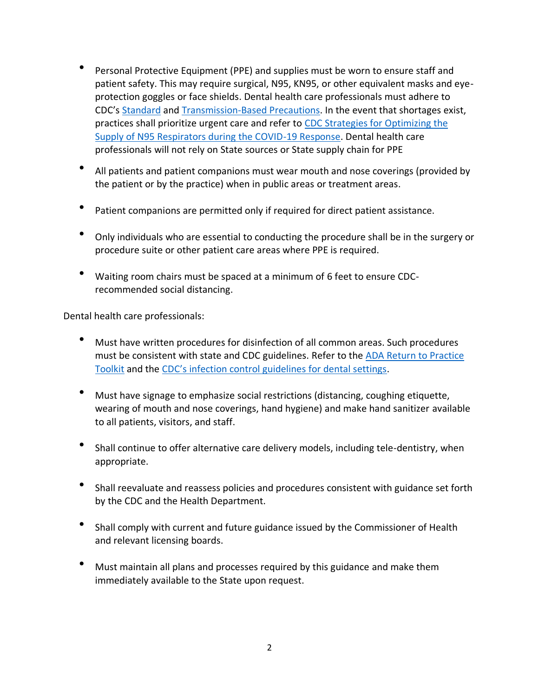- Personal Protective Equipment (PPE) and supplies must be worn to ensure staff and patient safety. This may require surgical, N95, KN95, or other equivalent masks and eyeprotection goggles or face shields. Dental health care professionals must adhere to CDC's [Standard](https://www.cdc.gov/infectioncontrol/basics/standard-precautions.html) and [Transmission-Based Precautions.](https://www.cdc.gov/infectioncontrol/basics/transmission-based-precautions.html) In the event that shortages exist, practices shall prioritize urgent care and refer to [CDC Strategies for Optimizing the](https://www.cdc.gov/coronavirus/2019-ncov/hcp/respirators-strategy/index.html)  [Supply of N95 Respirators during the COVID-19 Response.](https://www.cdc.gov/coronavirus/2019-ncov/hcp/respirators-strategy/index.html) Dental health care professionals will not rely on State sources or State supply chain for PPE
- All patients and patient companions must wear mouth and nose coverings (provided by the patient or by the practice) when in public areas or treatment areas.
- Patient companions are permitted only if required for direct patient assistance.
- Only individuals who are essential to conducting the procedure shall be in the surgery or procedure suite or other patient care areas where PPE is required.
- Waiting room chairs must be spaced at a minimum of 6 feet to ensure CDCrecommended social distancing.

Dental health care professionals:

- Must have written procedures for disinfection of all common areas. Such procedures must be consistent with state and CDC guidelines. Refer to the [ADA Return to Practice](https://pages.ada.org/return-to-work-toolkit-american-dental-association?utm_campaign=covid-19-Return-to-Work-Toolkit&utm_source=adaorg-ada-news&utm_medium=adanews&utm_content=covid-19-interim-return-to-work&_ga=2.56972778.1314638664.1589891954-2118805108.1578336623)  [Toolkit](https://pages.ada.org/return-to-work-toolkit-american-dental-association?utm_campaign=covid-19-Return-to-Work-Toolkit&utm_source=adaorg-ada-news&utm_medium=adanews&utm_content=covid-19-interim-return-to-work&_ga=2.56972778.1314638664.1589891954-2118805108.1578336623) and the [CDC's infection control guidelines for dental settings](https://www.cdc.gov/mmwr/PDF/rr/rr5217.pdf).
- Must have signage to emphasize social restrictions (distancing, coughing etiquette, wearing of mouth and nose coverings, hand hygiene) and make hand sanitizer available to all patients, visitors, and staff.
- Shall continue to offer alternative care delivery models, including tele-dentistry, when appropriate.
- Shall reevaluate and reassess policies and procedures consistent with guidance set forth by the CDC and the Health Department.
- Shall comply with current and future guidance issued by the Commissioner of Health and relevant licensing boards.
- Must maintain all plans and processes required by this guidance and make them immediately available to the State upon request.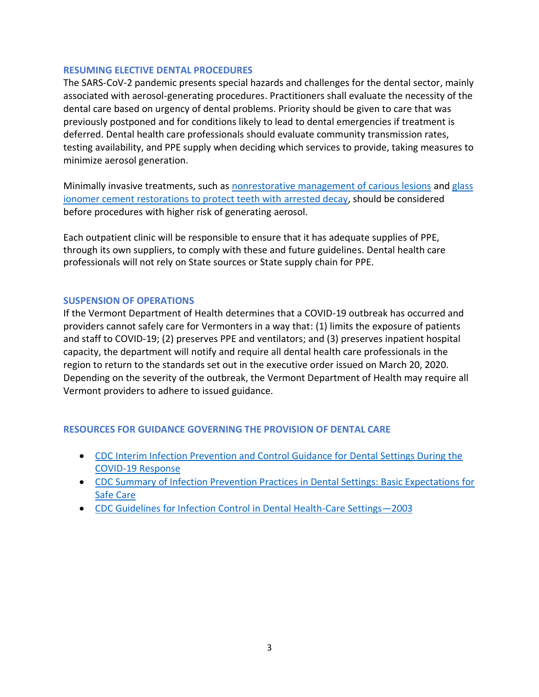#### **RESUMING ELECTIVE DENTAL PROCEDURES**

The SARS-CoV-2 pandemic presents special hazards and challenges for the dental sector, mainly associated with aerosol-generating procedures. Practitioners shall evaluate the necessity of the dental care based on urgency of dental problems. Priority should be given to care that was previously postponed and for conditions likely to lead to dental emergencies if treatment is deferred. Dental health care professionals should evaluate community transmission rates, testing availability, and PPE supply when deciding which services to provide, taking measures to minimize aerosol generation.

Minimally invasive treatments, such as [nonrestorative management of carious lesions](https://ebd.ada.org/en/evidence/guidelines/nonrestorative-treatments-for-caries-lesions) an[d glass](http://www.stomaeduj.com/wp-content/uploads/2016/08/Art-ALVEAR-FA.pdf)  [ionomer cement restorations to protect teeth with arrested decay,](http://www.stomaeduj.com/wp-content/uploads/2016/08/Art-ALVEAR-FA.pdf) should be considered before procedures with higher risk of generating aerosol.

Each outpatient clinic will be responsible to ensure that it has adequate supplies of PPE, through its own suppliers, to comply with these and future guidelines. Dental health care professionals will not rely on State sources or State supply chain for PPE.

### **SUSPENSION OF OPERATIONS**

If the Vermont Department of Health determines that a COVID-19 outbreak has occurred and providers cannot safely care for Vermonters in a way that: (1) limits the exposure of patients and staff to COVID-19; (2) preserves PPE and ventilators; and (3) preserves inpatient hospital capacity, the department will notify and require all dental health care professionals in the region to return to the standards set out in the executive order issued on March 20, 2020. Depending on the severity of the outbreak, the Vermont Department of Health may require all Vermont providers to adhere to issued guidance.

### **RESOURCES FOR GUIDANCE GOVERNING THE PROVISION OF DENTAL CARE**

- [CDC Interim Infection Prevention and Control Guidance for Dental Settings During the](https://www.cdc.gov/coronavirus/2019-ncov/hcp/dental-settings.html)  [COVID-19 Response](https://www.cdc.gov/coronavirus/2019-ncov/hcp/dental-settings.html)
- [CDC Summary of Infection Prevention Practices in Dental Settings: Basic Expectations for](https://www.cdc.gov/oralhealth/infectioncontrol/pdf/safe-care2.pdf)  [Safe Care](https://www.cdc.gov/oralhealth/infectioncontrol/pdf/safe-care2.pdf)
- [CDC Guidelines for Infection Control in Dental Health-Care Settings](https://www.cdc.gov/mmwr/PDF/rr/rr5217.pdf)—2003